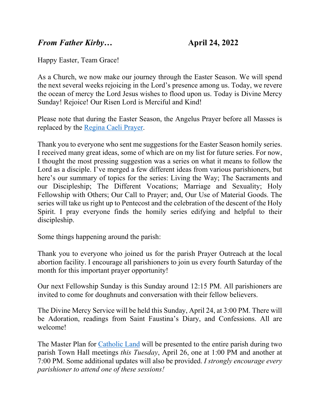## *From Father Kirby*… **April 24, 2022**

Happy Easter, Team Grace!

As a Church, we now make our journey through the Easter Season. We will spend the next several weeks rejoicing in the Lord's presence among us. Today, we revere the ocean of mercy the Lord Jesus wishes to flood upon us. Today is Divine Mercy Sunday! Rejoice! Our Risen Lord is Merciful and Kind!

Please note that during the Easter Season, the Angelus Prayer before all Masses is replaced by the [Regina Caeli Prayer.](https://gracewepray.org/wp-content/uploads/2022/04/Regina-Caeli.pdf)

Thank you to everyone who sent me suggestions for the Easter Season homily series. I received many great ideas, some of which are on my list for future series. For now, I thought the most pressing suggestion was a series on what it means to follow the Lord as a disciple. I've merged a few different ideas from various parishioners, but here's our summary of topics for the series: Living the Way; The Sacraments and our Discipleship; The Different Vocations; Marriage and Sexuality; Holy Fellowship with Others; Our Call to Prayer; and, Our Use of Material Goods. The series will take us right up to Pentecost and the celebration of the descent of the Holy Spirit. I pray everyone finds the homily series edifying and helpful to their discipleship.

Some things happening around the parish:

Thank you to everyone who joined us for the parish Prayer Outreach at the local abortion facility. I encourage all parishioners to join us every fourth Saturday of the month for this important prayer opportunity!

Our next Fellowship Sunday is this Sunday around 12:15 PM. All parishioners are invited to come for doughnuts and conversation with their fellow believers.

The Divine Mercy Service will be held this Sunday, April 24, at 3:00 PM. There will be Adoration, readings from Saint Faustina's Diary, and Confessions. All are welcome!

The Master Plan for [Catholic Land](https://gracewepray.org/about/our-future/) will be presented to the entire parish during two parish Town Hall meetings *this Tuesday*, April 26, one at 1:00 PM and another at 7:00 PM. Some additional updates will also be provided. *I strongly encourage every parishioner to attend one of these sessions!*